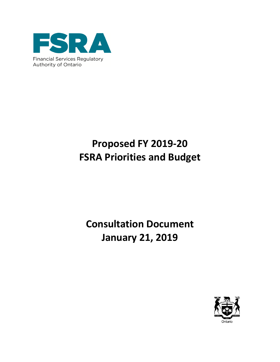

# **Proposed FY 2019-20 FSRA Priorities and Budget**

# **Consultation Document January 21, 2019**

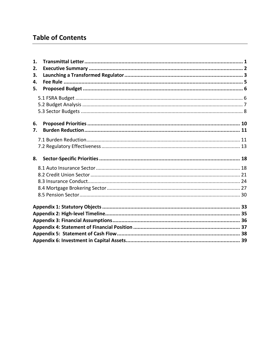## **Table of Contents**

| 1. |  |
|----|--|
| 2. |  |
| 3. |  |
| 4. |  |
| 5. |  |
|    |  |
|    |  |
|    |  |
|    |  |
| 6. |  |
| 7. |  |
|    |  |
|    |  |
|    |  |
| 8. |  |
|    |  |
|    |  |
|    |  |
|    |  |
|    |  |
|    |  |
|    |  |
|    |  |
|    |  |
|    |  |
|    |  |
|    |  |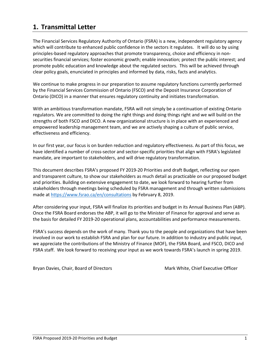## <span id="page-2-0"></span>**1. Transmittal Letter**

The Financial Services Regulatory Authority of Ontario (FSRA) is a new, independent regulatory agency which will contribute to enhanced public confidence in the sectors it regulates. It will do so by using principles-based regulatory approaches that promote transparency, choice and efficiency in nonsecurities financial services; foster economic growth; enable innovation; protect the public interest; and promote public education and knowledge about the regulated sectors. This will be achieved through clear policy goals, enunciated in principles and informed by data, risks, facts and analytics.

We continue to make progress in our preparation to assume regulatory functions currently performed by the Financial Services Commission of Ontario (FSCO) and the Deposit Insurance Corporation of Ontario (DICO) in a manner that ensures regulatory continuity and initiates transformation.

With an ambitious transformation mandate, FSRA will not simply be a continuation of existing Ontario regulators. We are committed to doing the right things and doing things right and we will build on the strengths of both FSCO and DICO. A new organizational structure is in place with an experienced and empowered leadership management team, and we are actively shaping a culture of public service, effectiveness and efficiency.

In our first year, our focus is on burden reduction and regulatory effectiveness. As part of this focus, we have identified a number of cross-sector and sector-specific priorities that align with FSRA's legislated mandate, are important to stakeholders, and will drive regulatory transformation.

This document describes FSRA's proposed FY 2019-20 Priorities and draft Budget, reflecting our open and transparent culture, to show our stakeholders as much detail as practicable on our proposed budget and priorities. Building on extensive engagement to date, we look forward to hearing further from stakeholders through meetings being scheduled by FSRA management and through written submissions made at<https://www.fsrao.ca/en/consultations> by February 8, 2019.

After considering your input, FSRA will finalize its priorities and budget in its Annual Business Plan (ABP). Once the FSRA Board endorses the ABP, it will go to the Minister of Finance for approval and serve as the basis for detailed FY 2019-20 operational plans, accountabilities and performance measurements.

FSRA's success depends on the work of many. Thank you to the people and organizations that have been involved in our work to establish FSRA and plan for our future. In addition to industry and public input, we appreciate the contributions of the Ministry of Finance (MOF), the FSRA Board, and FSCO, DICO and FSRA staff. We look forward to receiving your input as we work towards FSRA's launch in spring 2019.

Bryan Davies, Chair, Board of Directors Mark White, Chief Executive Officer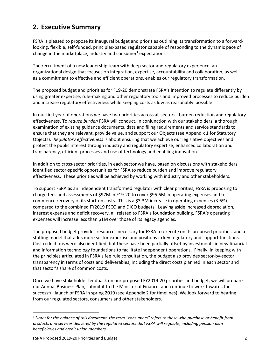## <span id="page-3-0"></span>**2. Executive Summary**

FSRA is pleased to propose its inaugural budget and priorities outlining its transformation to a forwardlooking, flexible, self-funded, principles-based regulator capable of responding to the dynamic pace of change in the marketplace, industry and consumer<sup>1</sup> expectations.

The recruitment of a new leadership team with deep sector and regulatory experience, an organizational design that focuses on integration, expertise, accountability and collaboration, as well as a commitment to effective and efficient operations, enables our regulatory transformation.

The proposed budget and priorities for F19-20 demonstrate FSRA's intention to regulate differently by using greater expertise, rule-making and other regulatory tools and improved processes to reduce burden and increase regulatory effectiveness while keeping costs as low as reasonably possible.

In our first year of operations we have two priorities across all sectors: burden reduction and regulatory effectiveness. To *reduce burden* FSRA will conduct, in conjunction with our stakeholders, a thorough examination of existing guidance documents, data and filing requirements and service standards to ensure that they are relevant, provide value, and support our Objects (see Appendix 1 for Statutory Objects). *Regulatory effectiveness* is about ensuring that we achieve our legislative objectives and protect the public interest through industry and regulatory expertise, enhanced collaboration and transparency, efficient processes and use of technology and enabling innovation.

In addition to cross-sector priorities, in each sector we have, based on discussions with stakeholders, identified sector-specific opportunities for FSRA to reduce burden and improve regulatory effectiveness. These priorities will be achieved by working with industry and other stakeholders.

To support FSRA as an independent transformed regulator with clear priorities, FSRA is proposing to charge fees and assessments of \$97M in F19-20 to cover \$95.6M in operating expenses and to commence recovery of its start-up costs. This is a \$3.3M increase in operating expenses (3.6%) compared to the combined FY2019 FSCO and DICO budgets. Leaving aside increased depreciation, interest expense and deficit recovery, all related to FSRA's foundation building, FSRA's operating expenses will increase less than \$1M over those of its legacy agencies.

The proposed budget provides resources necessary for FSRA to execute on its proposed priorities, and a staffing model that adds more sector expertise and positions in key regulatory and support functions. Cost reductions were also identified, but these have been partially offset by investments in new financial and information technology foundations to facilitate independent operations. Finally, in keeping with the principles articulated in FSRA's fee rule consultation, the budget also provides sector-by-sector transparency in terms of costs and deliverables, including the direct costs planned in each sector and that sector's share of common costs.

Once we have stakeholder feedback on our proposed FY2019-20 priorities and budget, we will prepare our Annual Business Plan, submit it to the Minister of Finance, and continue to work towards the successful launch of FSRA in spring 2019 (see Appendix 2 for timelines). We look forward to hearing from our regulated sectors, consumers and other stakeholders.

l

<sup>1</sup> *Note: for the balance of this document, the term "consumers" refers to those who purchase or benefit from products and services delivered by the regulated sectors that FSRA will regulate, including pension plan beneficiaries and credit union members.*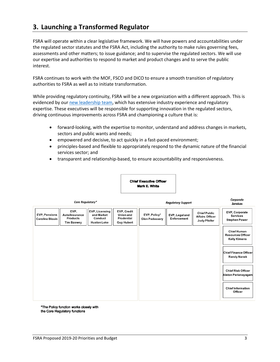## <span id="page-4-0"></span>**3. Launching a Transformed Regulator**

FSRA will operate within a clear legislative framework. We will have powers and accountabilities under the regulated sector statutes and the FSRA Act, including the authority to make rules governing fees, assessments and other matters; to issue guidance; and to supervise the regulated sectors. We will use our expertise and authorities to respond to market and product changes and to serve the public interest.

FSRA continues to work with the MOF, FSCO and DICO to ensure a smooth transition of regulatory authorities to FSRA as well as to initiate transformation.

While providing regulatory continuity, FSRA will be a new organization with a different approach. This is evidenced by our [new leadership team,](http://fsrao.ca/en/about/organization) which has extensive industry experience and regulatory expertise. These executives will be responsible for supporting innovation in the regulated sectors, driving continuous improvements across FSRA and championing a culture that is:

- forward-looking, with the expertise to monitor, understand and address changes in markets, sectors and public wants and needs;
- empowered and decisive, to act quickly in a fast-paced environment;
- principles-based and flexible to appropriately respond to the dynamic nature of the financial services sector; and
- transparent and relationship-based, to ensure accountability and responsiveness.

**Chief Executive Officer Mark E. White** 

|                                                | Core Regulatory*                                               |                                                                      |                                                             | <b>Regulatory Support</b>             | Corporate<br><b>Services</b>  |                                                               |                                                                       |
|------------------------------------------------|----------------------------------------------------------------|----------------------------------------------------------------------|-------------------------------------------------------------|---------------------------------------|-------------------------------|---------------------------------------------------------------|-----------------------------------------------------------------------|
| <b>EVP, Pensions</b><br><b>Caroline Blouin</b> | EVP,<br>Auto/Insurance<br><b>Products</b><br><b>Tim Bzowey</b> | <b>EVP, Licensing</b><br>and Market<br>Conduct<br><b>Huston Loke</b> | EVP, Credit<br>Union and<br>Prudential<br><b>Guy Hubert</b> | EVP, Policy*<br><b>Glen Padassery</b> | EVP, Legal and<br>Enforcement | <b>Chief Public</b><br><b>Affairs Officer</b><br>Judy Pfeifer | EVP, Corporate<br><b>Services</b><br><b>Stephen Power</b>             |
|                                                |                                                                |                                                                      |                                                             |                                       |                               |                                                               | <b>Chief Human</b><br><b>Resources Officer</b><br><b>Kelly Kimens</b> |
|                                                |                                                                |                                                                      |                                                             |                                       |                               |                                                               | Chief Finance Officer<br><b>Randy Nanek</b>                           |
|                                                |                                                                |                                                                      |                                                             |                                       |                               |                                                               | <b>Chief Risk Officer</b><br>Alston Perianayagam                      |
|                                                |                                                                |                                                                      |                                                             |                                       |                               |                                                               | <b>Chief Information</b><br><b>Officer</b>                            |

\*The Policy function works closely with the Core Regulatory functions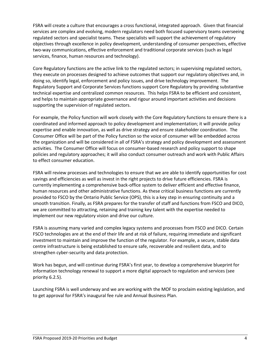FSRA will create a culture that encourages a cross functional, integrated approach. Given that financial services are complex and evolving, modern regulators need both focused supervisory teams overseeing regulated sectors and specialist teams. These specialists will support the achievement of regulatory objectives through excellence in policy development, understanding of consumer perspectives, effective two-way communications, effective enforcement and traditional corporate services (such as legal services, finance, human resources and technology).

Core Regulatory functions are the active link to the regulated sectors; in supervising regulated sectors, they execute on processes designed to achieve outcomes that support our regulatory objectives and, in doing so, identify legal, enforcement and policy issues, and drive technology improvement. The Regulatory Support and Corporate Services functions support Core Regulatory by providing substantive technical expertise and centralized common resources. This helps FSRA to be efficient and consistent, and helps to maintain appropriate governance and rigour around important activities and decisions supporting the supervision of regulated sectors.

For example, the Policy function will work closely with the Core Regulatory functions to ensure there is a coordinated and informed approach to policy development and implementation; it will provide policy expertise and enable innovation, as well as drive strategy and ensure stakeholder coordination. The Consumer Office will be part of the Policy function so the voice of consumer will be embedded across the organization and will be considered in all of FSRA's strategy and policy development and assessment activities. The Consumer Office will focus on consumer-based research and policy support to shape policies and regulatory approaches; it will also conduct consumer outreach and work with Public Affairs to effect consumer education.

FSRA will review processes and technologies to ensure that we are able to identify opportunities for cost savings and efficiencies as well as invest in the right projects to drive future efficiencies. FSRA is currently implementing a comprehensive back-office system to deliver efficient and effective finance, human resources and other administrative functions. As these critical business functions are currently provided to FSCO by the Ontario Public Service (OPS), this is a key step in ensuring continuity and a smooth transition. Finally, as FSRA prepares for the transfer of staff and functions from FSCO and DICO, we are committed to attracting, retaining and training key talent with the expertise needed to implement our new regulatory vision and drive our culture.

FSRA is assuming many varied and complex legacy systems and processes from FSCO and DICO. Certain FSCO technologies are at the end of their life and at risk of failure, requiring immediate and significant investment to maintain and improve the function of the regulator. For example, a secure, stable data centre infrastructure is being established to ensure safe, recoverable and resilient data, and to strengthen cyber-security and data protection.

Work has begun, and will continue during FSRA's first year, to develop a comprehensive blueprint for information technology renewal to support a more digital approach to regulation and services (see priority 6.2.5).

Launching FSRA is well underway and we are working with the MOF to proclaim existing legislation, and to get approval for FSRA's inaugural fee rule and Annual Business Plan.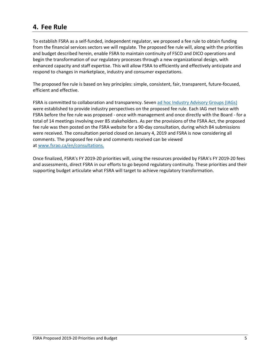## <span id="page-6-0"></span>**4. Fee Rule**

To establish FSRA as a self-funded, independent regulator, we proposed a fee rule to obtain funding from the financial services sectors we will regulate. The proposed fee rule will, along with the priorities and budget described herein, enable FSRA to maintain continuity of FSCO and DICO operations and begin the transformation of our regulatory processes through a new organizational design, with enhanced capacity and staff expertise. This will allow FSRA to efficiently and effectively anticipate and respond to changes in marketplace, industry and consumer expectations.

The proposed fee rule is based on key principles: simple, consistent, fair, transparent, future-focused, efficient and effective.

FSRA is committed to collaboration and transparency. Seven [ad hoc Industry Advisory Groups](https://www.fsrao.ca/en/consultations/industry-advisory-groups) (IAGs) were established to provide industry perspectives on the proposed fee rule. Each IAG met twice with FSRA before the fee rule was proposed - once with management and once directly with the Board - for a total of 14 meetings involving over 85 stakeholders. As per the provisions of the FSRA Act, the proposed fee rule was then posted on the FSRA website for a 90-day consultation, during which 84 submissions were received. The consultation period closed on January 4, 2019 and FSRA is now considering all comments. The proposed fee rule and comments received can be viewed at [www.fsrao.ca/en/consultations.](https://www.fsrao.ca/en/consultations)

Once finalized, FSRA's FY 2019-20 priorities will, using the resources provided by FSRA's FY 2019-20 fees and assessments, direct FSRA in our efforts to go beyond regulatory continuity. These priorities and their supporting budget articulate what FSRA will target to achieve regulatory transformation.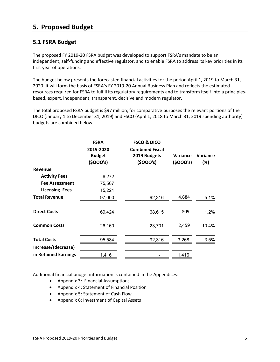## <span id="page-7-0"></span>**5. Proposed Budget**

## <span id="page-7-1"></span>**5.1 FSRA Budget**

The proposed FY 2019-20 FSRA budget was developed to support FSRA's mandate to be an independent, self-funding and effective regulator, and to enable FSRA to address its key priorities in its first year of operations.

The budget below presents the forecasted financial activities for the period April 1, 2019 to March 31, 2020. It will form the basis of FSRA's FY 2019-20 Annual Business Plan and reflects the estimated resources required for FSRA to fulfill its regulatory requirements and to transform itself into a principlesbased, expert, independent, transparent, decisive and modern regulator.

The total proposed FSRA budget is \$97 million; for comparative purposes the relevant portions of the DICO (January 1 to December 31, 2019) and FSCO (April 1, 2018 to March 31, 2019 spending authority) budgets are combined below.

|                       | <b>FSRA</b><br>2019-2020<br><b>Budget</b><br>(5000's) | <b>FSCO &amp; DICO</b><br><b>Combined Fiscal</b><br>2019 Budgets<br>(5000's) | Variance<br>(5000's) | Variance<br>(%) |
|-----------------------|-------------------------------------------------------|------------------------------------------------------------------------------|----------------------|-----------------|
| Revenue               |                                                       |                                                                              |                      |                 |
| <b>Activity Fees</b>  | 6,272                                                 |                                                                              |                      |                 |
| <b>Fee Assessment</b> | 75,507                                                |                                                                              |                      |                 |
| <b>Licensing Fees</b> | 15,221                                                |                                                                              |                      |                 |
| <b>Total Revenue</b>  | 97,000                                                | 92,316                                                                       | 4,684                | 5.1%            |
| <b>Direct Costs</b>   | 69,424                                                | 68,615                                                                       | 809                  | 1.2%            |
| <b>Common Costs</b>   | 26,160                                                | 23,701                                                                       | 2,459                | 10.4%           |
| <b>Total Costs</b>    | 95,584                                                | 92,316                                                                       | 3,268                | 3.5%            |
| Increase/(decrease)   |                                                       |                                                                              |                      |                 |
| in Retained Earnings  | 1,416                                                 |                                                                              | 1,416                |                 |

Additional financial budget information is contained in the Appendices:

- Appendix 3: Financial Assumptions
- Appendix 4: Statement of Financial Position
- Appendix 5: Statement of Cash Flow
- Appendix 6: Investment of Capital Assets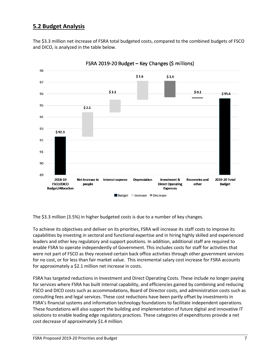## <span id="page-8-0"></span>**5.2 Budget Analysis**

The \$3.3 million net increase of FSRA total budgeted costs, compared to the combined budgets of FSCO and DICO, is analyzed in the table below.



FSRA 2019-20 Budget - Key Changes (\$ millions)

The \$3.3 million (3.5%) in higher budgeted costs is due to a number of key changes.

To achieve its objectives and deliver on its priorities, FSRA will increase its staff costs to improve its capabilities by investing in sectoral and functional expertise and in hiring highly skilled and experienced leaders and other key regulatory and support positions. In addition, additional staff are required to enable FSRA to operate independently of Government. This includes costs for staff for activities that were not part of FSCO as they received certain back office activities through other government services for no cost, or for less than fair market value. This incremental salary cost increase for FSRA accounts for approximately a \$2.1 million net increase in costs.

FSRA has targeted reductions in Investment and Direct Operating Costs. These include no longer paying for services where FSRA has built internal capability, and efficiencies gained by combining and reducing FSCO and DICO costs such as accommodations, Board of Director costs, and administration costs such as consulting fees and legal services. These cost reductions have been partly offset by investments in FSRA's financial systems and information technology foundations to facilitate independent operations. These foundations will also support the building and implementation of future digital and innovative IT solutions to enable leading edge regulatory practices. These categories of expenditures provide a net cost decrease of approximately \$1.4 million.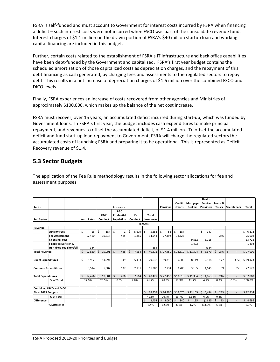FSRA is self-funded and must account to Government for interest costs incurred by FSRA when financing a deficit – such interest costs were not incurred when FSCO was part of the consolidate revenue fund. Interest charges of \$1.1 million on the drawn portion of FSRA's \$40 million startup loan and working capital financing are included in this budget.

Further, certain costs related to the establishment of FSRA's IT infrastructure and back office capabilities have been debt-funded by the Government and capitalized. FSRA's first year budget contains the scheduled amortization of those capitalized costs as depreciation charges, and the repayment of this debt financing as cash generated, by charging fees and assessments to the regulated sectors to repay debt. This results in a net increase of depreciation charges of \$1.6 million over the combined FSCO and DICO levels. 

Finally, FSRA experiences an increase of costs recovered from other agencies and Ministries of approximately \$100,000, which makes up the balance of the net cost increase.

FSRA must recover, over 15 years, an accumulated deficit incurred during start-up, which was funded by Government loans. In FSRA's first year, the budget includes cash expenditures to make principal repayment, and revenues to offset the accumulated deficit, of \$1.4 million. To offset the accumulated deficit and fund start-up loan repayment to Government, FSRA will charge the regulated sectors the accumulated costs of launching FSRA and preparing it to be operational. This is represented as Deficit Recovery revenue of \$1.4.

## <span id="page-9-0"></span>**5.3 Sector Budgets**

The application of the Fee Rule methodology results in the following sector allocations for fee and assessment purposes.

|                            |                                |    |                   |    |         |                     |              |                    |         |             |           |                 |                     |                | Health           |                           |              |                          |              |
|----------------------------|--------------------------------|----|-------------------|----|---------|---------------------|--------------|--------------------|---------|-------------|-----------|-----------------|---------------------|----------------|------------------|---------------------------|--------------|--------------------------|--------------|
|                            |                                |    |                   |    |         |                     |              |                    |         |             |           |                 | Credit              | Mortgage       | Service          | Loans &                   |              |                          |              |
| Sector                     |                                |    |                   |    |         |                     | Insurance    |                    |         |             |           | <b>Pensions</b> | <b>Unions</b>       | <b>Brokers</b> | <b>Providers</b> | <b>Trusts</b>             |              | <b>Secretariats</b>      | Total        |
|                            |                                |    |                   |    |         |                     | P&C          |                    |         |             |           |                 |                     |                |                  |                           |              |                          |              |
|                            |                                |    |                   |    | P&C     |                     | Prudential   |                    | Life    |             | Total     |                 |                     |                |                  |                           |              |                          |              |
| <b>Sub Sector</b>          |                                |    | <b>Auto Rates</b> |    | Conduct |                     | Regulation   |                    | Conduct |             | Insurance |                 |                     |                |                  |                           |              |                          |              |
|                            |                                |    |                   |    |         |                     |              |                    |         | (5000's)    |           |                 |                     |                |                  |                           |              |                          |              |
| Revenue                    |                                |    |                   |    |         |                     |              |                    |         |             |           |                 |                     |                |                  |                           |              |                          |              |
|                            | <b>Activity Fees</b>           | \$ | 16                | Ś  | 187     | $\dot{\mathsf{S}}$  | $\mathbf{1}$ | \$                 | 5,679   | Ś           | 5,883     | Ś<br>58         | Ś<br>184            |                | \$<br>147        |                           |              |                          | \$.<br>6,272 |
|                            | <b>Fee Assessment</b>          |    | 12.460            |    | 19,714  |                     | 485          |                    | 1,885   |             | 34,544    | 27,392          | 13,326              |                |                  | 246                       |              |                          | 75,508       |
|                            | <b>Licensing Fees</b>          |    |                   |    |         |                     |              |                    |         |             |           |                 |                     | 9.812          | 3.916            |                           |              |                          | 13,728       |
|                            | <b>Fixed Fee Deficiency</b>    |    |                   |    |         |                     |              |                    |         |             |           |                 |                     | 1,492          |                  |                           |              |                          | 1,492        |
|                            | <b>HSP Fixed Fee Shortfall</b> |    | 384               |    |         |                     |              |                    |         |             | 384       |                 |                     |                | (384)            |                           |              |                          |              |
| <b>Total Revenue</b>       |                                | \$ | 12,860            | \$ | 19,901  | $\ddot{\mathsf{S}}$ | 486          | $\mathsf{\hat{S}}$ | 7,564   | Ś           | 40,811    | \$27,450        | \$13,510            | \$11,304       | 3,679<br>\$      | $\zeta$<br>246            | $\mathsf{S}$ | $\sim$                   | \$97,000     |
|                            |                                |    |                   |    |         |                     |              |                    |         |             |           |                 |                     |                |                  |                           |              |                          |              |
| <b>Direct Expenditures</b> |                                | Ś  | 8,962             |    | 14,294  |                     | 349          |                    | 5,433   |             | 29,038    | 19,716          | 9.805               | 8,119          | 2,918            | 177                       |              | (350)                    | \$69,423     |
|                            |                                |    |                   |    |         |                     |              |                    |         |             |           |                 |                     |                |                  |                           |              |                          |              |
|                            | <b>Common Expenditures</b>     |    | 3,514             |    | 5,607   |                     | 137          |                    | 2.131   |             | 11.389    | 7.734           | 3.705               | 3.185          | 1.145            | 69                        |              | 350                      | 27,577       |
|                            |                                |    |                   |    |         |                     |              |                    |         |             |           |                 |                     |                |                  |                           |              |                          |              |
| <b>Total Expenditures</b>  |                                | Ś  | 12,476            | Ś. | 19,901  | <sup>\$</sup>       | 486          | $\mathsf{\hat{S}}$ | 7,564   | $\varsigma$ | 40,427    | \$27,450        | \$13,510            | \$11,304       | Ŝ.<br>4,063      | $\mathsf{\hat{S}}$<br>246 | \$           | $\overline{\phantom{a}}$ | \$97,000     |
|                            | % of Total                     |    | 12.9%             |    | 20.5%   |                     | 0.5%         |                    | 7.8%    |             | 41.7%     | 28.3%           | 13.9%               | 11.7%          | 4.2%             | 0.3%                      |              | 0.0%                     | 100.0%       |
|                            |                                |    |                   |    |         |                     |              |                    |         |             |           |                 |                     |                |                  |                           |              |                          |              |
|                            | Combined FSCO and DICO         |    |                   |    |         |                     |              |                    |         |             |           |                 |                     |                |                  |                           |              |                          |              |
| <b>Fiscal 2019 Budgets</b> |                                |    |                   |    |         |                     |              |                    |         | \$          | 38,358    | \$24,390        | \$12,670            | \$11,169       | Ś.<br>5,494      | \$<br>233                 | $\zeta$      | $\overline{\phantom{a}}$ | \$92,314     |
|                            | % of Total                     |    |                   |    |         |                     |              |                    |         |             | 41.6%     | 26.4%           | 13.7%               | 12.1%          | 6.0%             | 0.3%                      |              |                          |              |
| <b>Difference</b>          |                                |    |                   |    |         |                     |              |                    |         | Ś           | 2,453     | Ś.<br>3,060     | $\mathsf{S}$<br>840 | Ś.<br>135      | (1, 815)         | <sup>\$</sup><br>13       | \$           | $\overline{a}$           | Ś.<br>4,686  |
|                            | % Difference                   |    |                   |    |         |                     |              |                    |         |             | 6.4%      | 12.5%           | 6.6%                | 1.2%           | $-(33.0%)$       | 5.6%                      |              |                          | 5.1%         |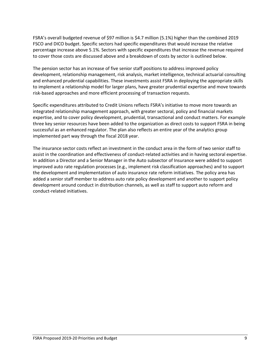FSRA's overall budgeted revenue of \$97 million is \$4.7 million (5.1%) higher than the combined 2019 FSCO and DICO budget. Specific sectors had specific expenditures that would increase the relative percentage increase above 5.1%. Sectors with specific expenditures that increase the revenue required to cover those costs are discussed above and a breakdown of costs by sector is outlined below.

The pension sector has an increase of five senior staff positions to address improved policy development, relationship management, risk analysis, market intelligence, technical actuarial consulting and enhanced prudential capabilities. These investments assist FSRA in deploying the appropriate skills to implement a relationship model for larger plans, have greater prudential expertise and move towards risk-based approaches and more efficient processing of transaction requests.

Specific expenditures attributed to Credit Unions reflects FSRA's initiative to move more towards an integrated relationship management approach, with greater sectoral, policy and financial markets expertise, and to cover policy development, prudential, transactional and conduct matters. For example three key senior resources have been added to the organization as direct costs to support FSRA in being successful as an enhanced regulator. The plan also reflects an entire year of the analytics group implemented part way through the fiscal 2018 year.

The insurance sector costs reflect an investment in the conduct area in the form of two senior staff to assist in the coordination and effectiveness of conduct-related activities and in having sectoral expertise. In addition a Director and a Senior Manager in the Auto subsector of Insurance were added to support improved auto rate regulation processes (e.g., implement risk classification approaches) and to support the development and implementation of auto insurance rate reform initiatives. The policy area has added a senior staff member to address auto rate policy development and another to support policy development around conduct in distribution channels, as well as staff to support auto reform and conduct-related initiatives.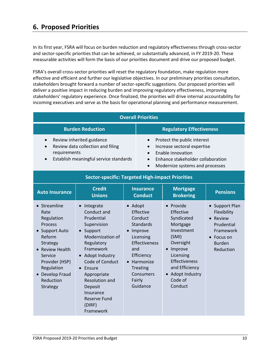<span id="page-11-0"></span>In its first year, FSRA will focus on burden reduction and regulatory effectiveness through cross-sector and sector-specific priorities that can be achieved, or substantially advanced, in FY 2019-20. These measurable activities will form the basis of our priorities document and drive our proposed budget.

FSRA's overall cross-sector priorities will reset the regulatory foundation, make regulation more effective and efficient and further our legislative objectives. In our preliminary priorities consultation, stakeholders brought forward a number of sector-specific suggestions. Our proposed priorities will deliver a positive impact in reducing burden and improving regulatory effectiveness, improving stakeholders' regulatory experience. Once finalized, the priorities will drive internal accountability for incoming executives and serve as the basis for operational planning and performance measurement.

| <b>Overall Priorities</b>                                                                                                                                                                                      |                                                                                                                                                                                                                                                                                                                  |                |                                                                                                                                                                      |                                                                                                                                                                                             |                                                                                                                  |  |  |  |  |
|----------------------------------------------------------------------------------------------------------------------------------------------------------------------------------------------------------------|------------------------------------------------------------------------------------------------------------------------------------------------------------------------------------------------------------------------------------------------------------------------------------------------------------------|----------------|----------------------------------------------------------------------------------------------------------------------------------------------------------------------|---------------------------------------------------------------------------------------------------------------------------------------------------------------------------------------------|------------------------------------------------------------------------------------------------------------------|--|--|--|--|
|                                                                                                                                                                                                                | <b>Burden Reduction</b>                                                                                                                                                                                                                                                                                          |                |                                                                                                                                                                      | <b>Regulatory Effectiveness</b>                                                                                                                                                             |                                                                                                                  |  |  |  |  |
| requirements                                                                                                                                                                                                   | Review inherited guidance<br>Review data collection and filing<br>Establish meaningful service standards                                                                                                                                                                                                         |                | Protect the public interest<br>Increase sectoral expertise<br>Enable innovation<br>Enhance stakeholder collaboration<br>Modernize systems and processes              |                                                                                                                                                                                             |                                                                                                                  |  |  |  |  |
| <b>Sector-specific: Targeted High-impact Priorities</b>                                                                                                                                                        |                                                                                                                                                                                                                                                                                                                  |                |                                                                                                                                                                      |                                                                                                                                                                                             |                                                                                                                  |  |  |  |  |
| <b>Auto Insurance</b>                                                                                                                                                                                          | <b>Credit</b><br><b>Unions</b>                                                                                                                                                                                                                                                                                   |                |                                                                                                                                                                      | <b>Mortgage</b><br><b>Brokering</b>                                                                                                                                                         | <b>Pensions</b>                                                                                                  |  |  |  |  |
| • Streamline<br>Rate<br>Regulation<br><b>Process</b><br><b>Support Auto</b><br>Reform<br>Strategy<br><b>Review Health</b><br>Service<br>Provider (HSP)<br>Regulation<br>Develop Fraud<br>Reduction<br>Strategy | Integrate<br>Conduct and<br>Prudential<br>Supervision<br>Support<br>$\bullet$<br>Modernization of<br>Regulatory<br>Framework<br>Adopt Industry<br>$\bullet$<br>Code of Conduct<br>$\bullet$ Ensure<br>Appropriate<br><b>Resolution and</b><br>Deposit<br>Insurance<br><b>Reserve Fund</b><br>(DIRF)<br>Framework | • Adopt<br>and | Effective<br>Conduct<br><b>Standards</b><br>Improve<br>Licensing<br>Effectiveness<br>Efficiency<br>• Harmonize<br><b>Treating</b><br>Consumers<br>Fairly<br>Guidance | • Provide<br>Effective<br>Syndicated<br>Mortgage<br>Investment<br>(SMI)<br>Oversight<br>• Improve<br>Licensing<br>Effectiveness<br>and Efficiency<br>• Adopt Industry<br>Code of<br>Conduct | • Support Plan<br>Flexibility<br>• Review<br>Prudential<br>Framework<br>• Focus on<br><b>Burden</b><br>Reduction |  |  |  |  |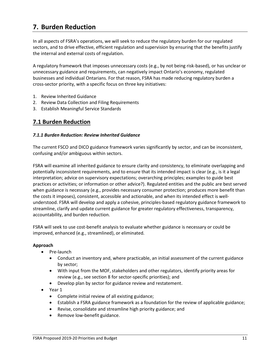## <span id="page-12-0"></span>**7. Burden Reduction**

In all aspects of FSRA's operations, we will seek to reduce the regulatory burden for our regulated sectors, and to drive effective, efficient regulation and supervision by ensuring that the benefits justify the internal and external costs of regulation.

A regulatory framework that imposes unnecessary costs (e.g., by not being risk-based), or has unclear or unnecessary guidance and requirements, can negatively impact Ontario's economy, regulated businesses and individual Ontarians. For that reason, FSRA has made reducing regulatory burden a cross-sector priority, with a specific focus on three key initiatives:

- 1. Review Inherited Guidance
- 2. Review Data Collection and Filing Requirements
- 3. Establish Meaningful Service Standards

### <span id="page-12-1"></span>**7.1 Burden Reduction**

#### *7.1.1 Burden Reduction: Review Inherited Guidance*

The current FSCO and DICO guidance framework varies significantly by sector, and can be inconsistent, confusing and/or ambiguous within sectors.

FSRA will examine all inherited guidance to ensure clarity and consistency, to eliminate overlapping and potentially inconsistent requirements, and to ensure that its intended impact is clear (e.g., is it a legal interpretation; advice on supervisory expectations; overarching principles; examples to guide best practices or activities; or information or other advice?). Regulated entities and the public are best served when guidance is necessary (e.g., provides necessary consumer protection; produces more benefit than the costs it imposes), consistent, accessible and actionable, and when its intended effect is wellunderstood. FSRA will develop and apply a cohesive, principles-based regulatory guidance framework to streamline, clarify and update current guidance for greater regulatory effectiveness, transparency, accountability, and burden reduction.

FSRA will seek to use cost-benefit analysis to evaluate whether guidance is necessary or could be improved, enhanced (e.g., streamlined), or eliminated.

- Pre-launch
	- Conduct an inventory and, where practicable, an initial assessment of the current guidance by sector;
	- With input from the MOF, stakeholders and other regulators, identify priority areas for review (e.g., see section 8 for sector-specific priorities); and
	- Develop plan by sector for guidance review and restatement.
- Year 1
	- Complete initial review of all existing guidance;
	- Establish a FSRA guidance framework as a foundation for the review of applicable guidance;
	- Revise, consolidate and streamline high priority guidance; and
	- Remove low-benefit guidance.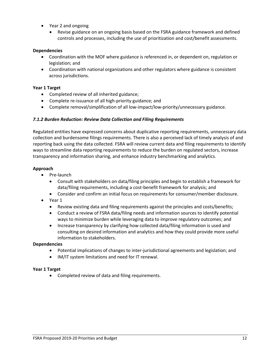- Year 2 and ongoing
	- Revise guidance on an ongoing basis based on the FSRA guidance framework and defined controls and processes, including the use of prioritization and cost/benefit assessments.

#### **Dependencies**

- Coordination with the MOF where guidance is referenced in, or dependent on, regulation or legislation; and
- Coordination with national organizations and other regulators where guidance is consistent across jurisdictions.

#### **Year 1 Target**

- Completed review of all inherited guidance;
- Complete re-issuance of all high-priority guidance; and
- Complete removal/simplification of all low-impact/low-priority/unnecessary guidance.

#### *7.1.2 Burden Reduction: Review Data Collection and Filing Requirements*

Regulated entities have expressed concerns about duplicative reporting requirements, unnecessary data collection and burdensome filings requirements. There is also a perceived lack of timely analysis of and reporting back using the data collected. FSRA will review current data and filing requirements to identify ways to streamline data reporting requirements to reduce the burden on regulated sectors, increase transparency and information sharing, and enhance industry benchmarking and analytics.

#### **Approach**

- Pre-launch
	- Consult with stakeholders on data/filing principles and begin to establish a framework for data/filing requirements, including a cost-benefit framework for analysis; and
	- Consider and confirm an initial focus on requirements for consumer/member disclosure.
- Year 1
	- Review existing data and filing requirements against the principles and costs/benefits;
	- Conduct a review of FSRA data/filing needs and information sources to identify potential ways to minimize burden while leveraging data to improve regulatory outcomes; and
	- Increase transparency by clarifying how collected data/filing information is used and consulting on desired information and analytics and how they could provide more useful information to stakeholders.

#### **Dependencies**

- Potential implications of changes to inter-jurisdictional agreements and legislation; and
- IM/IT system limitations and need for IT renewal.

#### **Year 1 Target**

• Completed review of data and filing requirements.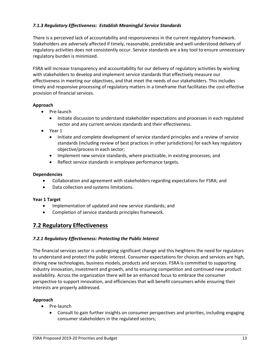#### *7.1.3 Regulatory Effectiveness: Establish Meaningful Service Standards*

There is a perceived lack of accountability and responsiveness in the current regulatory framework. Stakeholders are adversely affected if timely, reasonable, predictable and well-understood delivery of regulatory activities does not consistently occur. Service standards are a key tool to ensure unnecessary regulatory burden is minimized.

FSRA will increase transparency and accountability for our delivery of regulatory activities by working with stakeholders to develop and implement service standards that effectively measure our effectiveness in meeting our objectives, and that meet the needs of our stakeholders. This includes timely and responsive processing of regulatory matters in a timeframe that facilitates the cost-effective provision of financial services.

#### **Approach**

- Pre-launch
	- Initiate discussion to understand stakeholder expectations and processes in each regulated sector and any current services standards and their effectiveness.
- Year 1
	- Initiate and complete development of service standard principles and a review of service standards (including review of best practices in other jurisdictions) for each key regulatory objective/process in each sector;
	- Implement new service standards, where practicable, in existing processes; and
	- Reflect service standards in employee performance targets.

#### **Dependencies**

- Collaboration and agreement with stakeholders regarding expectations for FSRA; and
- Data collection and systems limitations.

#### **Year 1 Target**

- Implementation of updated and new service standards; and
- Completion of service standards principles framework.

### <span id="page-14-0"></span>**7.2 Regulatory Effectiveness**

#### *7.2.1 Regulatory Effectiveness: Protecting the Public Interest*

The financial services sector is undergoing significant change and this heightens the need for regulators to understand and protect the public interest. Consumer expectations for choices and services are high, driving new technologies, business models, products and services. FSRA is committed to supporting industry innovation, investment and growth, and to ensuring competition and continued new product availability. Across the organization there will be an enhanced focus to embrace the consumer perspective to support innovation, and efficiencies that will benefit consumers while ensuring their interests are properly addressed.

- Pre-launch
	- Consult to gain further insights on consumer perspectives and priorities, including engaging consumer stakeholders in the regulated sectors;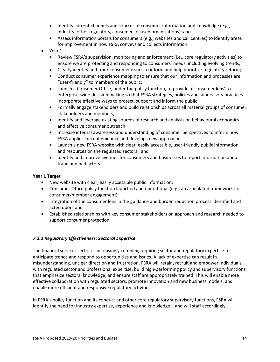- Identify current channels and sources of consumer information and knowledge (e.g., industry, other regulators, consumer-focused organizations); and
- Assess information portals for consumers (e.g., websites and call centres) to identify areas for improvement in how FSRA conveys and collects information.
- Year 1
	- Review FSRA's supervision, monitoring and enforcement (i.e., core regulatory activities) to ensure we are protecting and responding to consumers' needs, including evolving trends;
	- Clearly identify and track consumer issues to inform and help prioritize regulatory reform;
	- Conduct consumer experience mapping to ensure that our information and processes are "user-friendly" to members of the public;
	- Launch a Consumer Office, under the policy function, to provide a 'consumer lens' to enterprise-wide decision making so that FSRA strategies, policies and supervisory practices incorporate effective ways to protect, support and inform the public;
	- Formally engage stakeholders and build relationships across all material groups of consumer stakeholders and members;
	- Identify and leverage existing sources of research and analysis on behavioural economics and effective consumer outreach;
	- Increase internal awareness and understanding of consumer perspectives to inform how FSRA applies current guidance and develops new approaches;
	- Launch a new FSRA website with clear, easily accessible, user-friendly public information and resources on the regulated sectors; and
	- Identify and improve avenues for consumers and businesses to report information about fraud and bad actors.

#### **Year 1 Target**

- New website with clear, easily accessible public information;
- Consumer Office policy function launched and operational (e.g., an articulated framework for consumer/member engagement);
- Integration of the consumer lens in the guidance and burden reduction process identified and acted upon; and
- Established relationships with key consumer stakeholders on approach and research needed to support consumer protection.

#### *7.2.2 Regulatory Effectiveness: Sectoral Expertise*

The financial services sector is increasingly complex, requiring sector and regulatory expertise to anticipate trends and respond to opportunities and issues. A lack of expertise can result in misunderstanding, unclear direction and frustration. FSRA will retain, recruit and empower individuals with regulated sector and professional expertise, build high-performing policy and supervisory functions that emphasize sectoral knowledge, and ensure staff are appropriately trained. This will enable more effective collaboration with regulated sectors, promote innovation and new business models, and enable more efficient and responsive regulatory activities.

In FSRA's policy function and its conduct and other core regulatory supervisory functions, FSRA will identify the need for industry expertise, experience and knowledge – and will staff accordingly.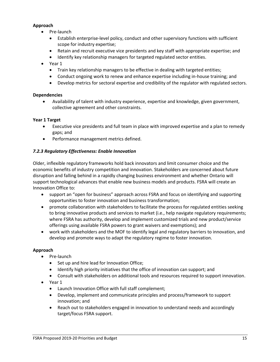#### **Approach**

- Pre-launch
	- Establish enterprise-level policy, conduct and other supervisory functions with sufficient scope for industry expertise;
	- Retain and recruit executive vice presidents and key staff with appropriate expertise; and
	- Identify key relationship managers for targeted regulated sector entities.
- Year 1
	- Train key relationship managers to be effective in dealing with targeted entities;
	- Conduct ongoing work to renew and enhance expertise including in-house training; and
	- Develop metrics for sectoral expertise and credibility of the regulator with regulated sectors.

#### **Dependencies**

• Availability of talent with industry experience, expertise and knowledge, given government, collective agreement and other constraints.

#### **Year 1 Target**

- Executive vice presidents and full team in place with improved expertise and a plan to remedy gaps; and
- Performance management metrics defined.

#### *7.2.3 Regulatory Effectiveness: Enable Innovation*

Older, inflexible regulatory frameworks hold back innovators and limit consumer choice and the economic benefits of industry competition and innovation. Stakeholders are concerned about future disruption and falling behind in a rapidly changing business environment and whether Ontario will support technological advances that enable new business models and products. FSRA will create an Innovation Office to:

- support an "open for business" approach across FSRA and focus on identifying and supporting opportunities to foster innovation and business transformation;
- promote collaboration with stakeholders to facilitate the process for regulated entities seeking to bring innovative products and services to market (i.e., help navigate regulatory requirements; where FSRA has authority, develop and implement customized trials and new product/service offerings using available FSRA powers to grant waivers and exemptions); and
- work with stakeholders and the MOF to identify legal and regulatory barriers to innovation, and develop and promote ways to adapt the regulatory regime to foster innovation.

- Pre-launch
	- Set up and hire lead for Innovation Office;
	- Identify high priority initiatives that the office of innovation can support; and
	- Consult with stakeholders on additional tools and resources required to support innovation.
- Year 1
	- Launch Innovation Office with full staff complement;
	- Develop, implement and communicate principles and process/framework to support innovation; and
	- Reach out to stakeholders engaged in innovation to understand needs and accordingly target/focus FSRA support.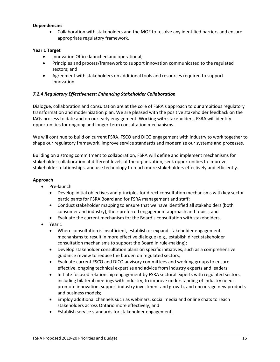#### **Dependencies**

• Collaboration with stakeholders and the MOF to resolve any identified barriers and ensure appropriate regulatory framework.

#### **Year 1 Target**

- Innovation Office launched and operational;
- Principles and process/framework to support innovation communicated to the regulated sectors; and
- Agreement with stakeholders on additional tools and resources required to support innovation.

#### *7.2.4 Regulatory Effectiveness: Enhancing Stakeholder Collaboration*

Dialogue, collaboration and consultation are at the core of FSRA's approach to our ambitious regulatory transformation and modernization plan. We are pleased with the positive stakeholder feedback on the IAGs process to date and on our early engagement. Working with stakeholders, FSRA will identify opportunities for ongoing and longer-term consultation mechanisms.

We will continue to build on current FSRA, FSCO and DICO engagement with industry to work together to shape our regulatory framework, improve service standards and modernize our systems and processes.

Building on a strong commitment to collaboration, FSRA will define and implement mechanisms for stakeholder collaboration at different levels of the organization, seek opportunities to improve stakeholder relationships, and use technology to reach more stakeholders effectively and efficiently.

- Pre-launch
	- Develop initial objectives and principles for direct consultation mechanisms with key sector participants for FSRA Board and for FSRA management and staff;
	- Conduct stakeholder mapping to ensure that we have identified all stakeholders (both consumer and industry), their preferred engagement approach and topics; and
	- Evaluate the current mechanism for the Board's consultation with stakeholders.
- Year 1
	- Where consultation is insufficient, establish or expand stakeholder engagement mechanisms to result in more effective dialogue (e.g., establish direct stakeholder consultation mechanisms to support the Board in rule-making);
	- Develop stakeholder consultation plans on specific initiatives, such as a comprehensive guidance review to reduce the burden on regulated sectors;
	- Evaluate current FSCO and DICO advisory committees and working groups to ensure effective, ongoing technical expertise and advice from industry experts and leaders;
	- Initiate focused relationship engagement by FSRA sectoral experts with regulated sectors, including bilateral meetings with industry, to improve understanding of industry needs, promote innovation, support industry investment and growth, and encourage new products and business models;
	- Employ additional channels such as webinars, social media and online chats to reach stakeholders across Ontario more effectively; and
	- Establish service standards for stakeholder engagement.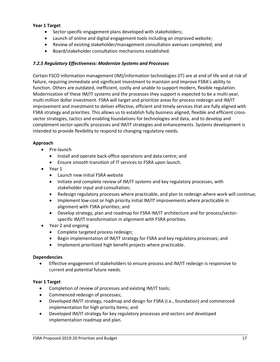#### **Year 1 Target**

- Sector specific engagement plans developed with stakeholders;
- Launch of online and digital engagement tools including an improved website;
- Review of existing stakeholder/management consultation avenues completed; and
- Board/stakeholder consultation mechanisms established.

#### *7.2.5 Regulatory Effectiveness: Modernize Systems and Processes*

Certain FSCO information management (IM)/information technologies (IT) are at end of life and at risk of failure, requiring immediate and significant investment to maintain and improve FSRA's ability to function. Others are outdated, inefficient, costly and unable to support modern, flexible regulation. Modernization of these IM/IT systems and the processes they support is expected to be a multi-year, multi-million dollar investment. FSRA will target and prioritize areas for process redesign and IM/IT improvement and investment to deliver effective, efficient and timely services that are fully aligned with FSRA strategy and priorities. This allows us to establish fully business aligned, flexible and efficient crosssector strategies, tactics and enabling foundations for technologies and data, and to develop and complement sector-specific processes and IM/IT strategies and enhancements. Systems development is intended to provide flexibility to respond to changing regulatory needs.

#### **Approach**

- Pre-launch
	- Install and operate back-office operations and data centre; and
	- Ensure smooth transition of IT services to FSRA upon launch.
- Year 1
	- Launch new initial FSRA website
	- Initiate and complete review of IM/IT systems and key regulatory processes, with stakeholder input and consultation;
	- Redesign regulatory processes where practicable, and plan to redesign where work will continue;
	- Implement low-cost or high priority initial IM/IT improvements where practicable in alignment with FSRA priorities; and
	- Develop strategy, plan and roadmap for FSRA IM/IT architecture and for process/sectorspecific IM/IT transformation in alignment with FSRA priorities.
- Year 2 and ongoing
	- Complete targeted process redesign;
	- Begin implementation of IM/IT strategy for FSRA and key regulatory processes; and
	- Implement prioritized high benefit projects where practicable.

#### **Dependencies**

• Effective engagement of stakeholders to ensure process and IM/IT redesign is responsive to current and potential future needs.

#### **Year 1 Target**

- Completion of review of processes and existing IM/IT tools;
- Commenced redesign of processes;
- Developed IM/IT strategy, roadmap and design for FSRA (i.e., foundation) and commenced implementation for high priority items; and
- Developed IM/IT strategy for key regulatory processes and sectors and developed implementation roadmap and plan.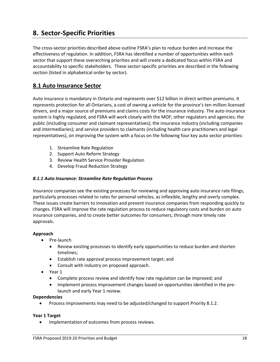## <span id="page-19-0"></span>**8. Sector-Specific Priorities**

The cross-sector priorities described above outline FSRA's plan to reduce burden and increase the effectiveness of regulation. In addition, FSRA has identified a number of opportunities within each sector that support these overarching priorities and will create a dedicated focus within FSRA and accountability to specific stakeholders. These sector-specific priorities are described in the following section (listed in alphabetical order by sector).

## <span id="page-19-1"></span>**8.1 Auto Insurance Sector**

Auto insurance is mandatory in Ontario and represents over \$12 billion in direct written premiums. It represents protection for all Ontarians, a cost of owning a vehicle for the province's ten million licensed drivers, and a major source of premiums and claims costs for the insurance industry. The auto insurance system is highly regulated, and FSRA will work closely with the MOF; other regulators and agencies; the public (including consumer and claimant representatives); the insurance industry (including companies and intermediaries); and service providers to claimants (including health care practitioners and legal representatives), on improving the system with a focus on the following four key auto sector priorities:

- 1. Streamline Rate Regulation
- 2. Support Auto Reform Strategy
- 3. Review Health Service Provider Regulation
- 4. Develop Fraud Reduction Strategy

#### *8.1.1 Auto Insurance: Streamline Rate Regulation Process*

Insurance companies see the existing processes for reviewing and approving auto insurance rate filings, particularly processes related to rates for personal vehicles, as inflexible, lengthy and overly complex. These issues create barriers to innovation and prevent insurance companies from responding quickly to changes. FSRA will improve the rate regulation process to reduce regulatory costs and burden on auto insurance companies, and to create better outcomes for consumers, through more timely rate approvals.

#### **Approach**

- Pre-launch
	- Review existing processes to identify early opportunities to reduce burden and shorten timelines;
	- Establish rate approval process improvement target; and
	- Consult with industry on proposed approach.
- Year 1
	- Complete process review and identify how rate regulation can be improved; and
	- Implement process improvement changes based on opportunities identified in the prelaunch and early Year 1 review.

#### **Dependencies**

• Process improvements may need to be adjusted/changed to support Priority 8.1.2.

#### **Year 1 Target**

• Implementation of outcomes from process reviews.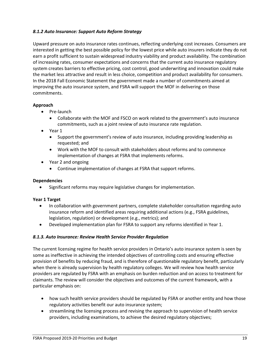#### *8.1.2 Auto Insurance: Support Auto Reform Strategy*

Upward pressure on auto insurance rates continues, reflecting underlying cost increases. Consumers are interested in getting the best possible policy for the lowest price while auto insurers indicate they do not earn a profit sufficient to sustain widespread industry viability and product availability. The combination of increasing rates, consumer expectations and concerns that the current auto insurance regulatory system creates barriers to effective pricing, cost control, good underwriting and innovation could make the market less attractive and result in less choice, competition and product availability for consumers. In the 2018 Fall Economic Statement the government made a number of commitments aimed at improving the auto insurance system, and FSRA will support the MOF in delivering on those commitments.

#### **Approach**

- Pre-launch
	- Collaborate with the MOF and FSCO on work related to the government's auto insurance commitments, such as a joint review of auto insurance rate regulation.
- Year 1
	- Support the government's review of auto insurance, including providing leadership as requested; and
	- Work with the MOF to consult with stakeholders about reforms and to commence implementation of changes at FSRA that implements reforms.
- Year 2 and ongoing
	- Continue implementation of changes at FSRA that support reforms.

#### **Dependencies**

• Significant reforms may require legislative changes for implementation.

#### **Year 1 Target**

- In collaboration with government partners, complete stakeholder consultation regarding auto insurance reform and identified areas requiring additional actions (e.g., FSRA guidelines, legislation, regulation) or development (e.g., metrics); and
- Developed implementation plan for FSRA to support any reforms identified in Year 1.

#### *8.1.3. Auto Insurance: Review Health Service Provider Regulation*

The current licensing regime for health service providers in Ontario's auto insurance system is seen by some as ineffective in achieving the intended objectives of controlling costs and ensuring effective provision of benefits by reducing fraud, and is therefore of questionable regulatory benefit, particularly when there is already supervision by health regulatory colleges. We will review how health service providers are regulated by FSRA with an emphasis on burden reduction and on access to treatment for claimants. The review will consider the objectives and outcomes of the current framework, with a particular emphasis on:

- how such health service providers should be regulated by FSRA or another entity and how those regulatory activities benefit our auto insurance system;
- streamlining the licensing process and revising the approach to supervision of health service providers, including examinations, to achieve the desired regulatory objectives;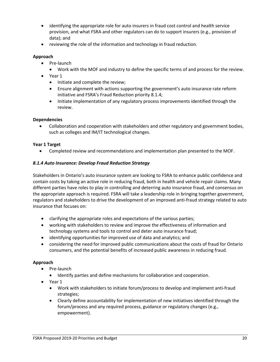- identifying the appropriate role for auto insurers in fraud cost control and health service provision, and what FSRA and other regulators can do to support insurers (e.g., provision of data); and
- reviewing the role of the information and technology in fraud reduction.

#### **Approach**

- Pre-launch
	- Work with the MOF and industry to define the specific terms of and process for the review.
- Year 1
	- Initiate and complete the review;
	- Ensure alignment with actions supporting the government's auto insurance rate reform initiative and FSRA's Fraud Reduction priority 8.1.4;
	- Initiate implementation of any regulatory process improvements identified through the review.

#### **Dependencies**

• Collaboration and cooperation with stakeholders and other regulatory and government bodies, such as colleges and IM/IT technological changes.

#### **Year 1 Target**

• Completed review and recommendations and implementation plan presented to the MOF.

#### *8.1.4 Auto Insurance: Develop Fraud Reduction Strategy*

Stakeholders in Ontario's auto insurance system are looking to FSRA to enhance public confidence and contain costs by taking an active role in reducing fraud, both in health and vehicle repair claims. Many different parties have roles to play in controlling and deterring auto insurance fraud, and consensus on the appropriate approach is required. FSRA will take a leadership role in bringing together government, regulators and stakeholders to drive the development of an improved anti-fraud strategy related to auto insurance that focuses on:

- clarifying the appropriate roles and expectations of the various parties;
- working with stakeholders to review and improve the effectiveness of information and technology systems and tools to control and deter auto insurance fraud;
- identifying opportunities for improved use of data and analytics; and
- considering the need for improved public communications about the costs of fraud for Ontario consumers, and the potential benefits of increased public awareness in reducing fraud.

- Pre-launch
	- Identify parties and define mechanisms for collaboration and cooperation.
- Year 1
	- Work with stakeholders to initiate forum/process to develop and implement anti-fraud strategies;
	- Clearly define accountability for implementation of new initiatives identified through the forum/process and any required process, guidance or regulatory changes (e.g., empowerment).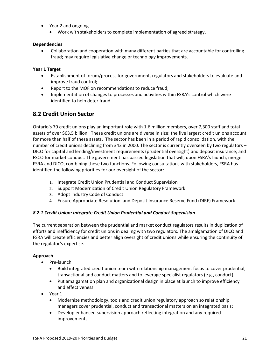- Year 2 and ongoing
	- Work with stakeholders to complete implementation of agreed strategy.

#### **Dependencies**

• Collaboration and cooperation with many different parties that are accountable for controlling fraud; may require legislative change or technology improvements.

#### **Year 1 Target**

- Establishment of forum/process for government, regulators and stakeholders to evaluate and improve fraud control;
- Report to the MOF on recommendations to reduce fraud;
- Implementation of changes to processes and activities within FSRA's control which were identified to help deter fraud.

### <span id="page-22-0"></span>**8.2 Credit Union Sector**

Ontario's 79 credit unions play an important role with 1.6 million members, over 7,300 staff and total assets of over \$63.5 billion. These credit unions are diverse in size; the five largest credit unions account for more than half of these assets. The sector has been in a period of rapid consolidation, with the number of credit unions declining from 343 in 2000. The sector is currently overseen by two regulators – DICO for capital and lending/investment requirements (prudential oversight) and deposit insurance; and FSCO for market conduct. The government has passed legislation that will, upon FSRA's launch, merge FSRA and DICO, combining these two functions. Following consultations with stakeholders, FSRA has identified the following priorities for our oversight of the sector:

- 1. Integrate Credit Union Prudential and Conduct Supervision
- 2. Support Modernization of Credit Union Regulatory Framework
- 3. Adopt Industry Code of Conduct
- 4. Ensure Appropriate Resolution and Deposit Insurance Reserve Fund (DIRF) Framework

#### *8.2.1 Credit Union: Integrate Credit Union Prudential and Conduct Supervision*

The current separation between the prudential and market conduct regulators results in duplication of efforts and inefficiency for credit unions in dealing with two regulators. The amalgamation of DICO and FSRA will create efficiencies and better align oversight of credit unions while ensuring the continuity of the regulator's expertise.

- Pre-launch
	- Build integrated credit union team with relationship management focus to cover prudential, transactional and conduct matters and to leverage specialist regulators (e.g., conduct);
	- Put amalgamation plan and organizational design in place at launch to improve efficiency and effectiveness.
- Year 1
	- Modernize methodology, tools and credit union regulatory approach so relationship managers cover prudential, conduct and transactional matters on an integrated basis;
	- Develop enhanced supervision approach reflecting integration and any required improvements.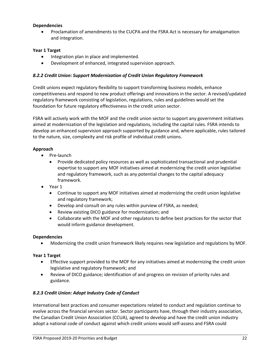#### **Dependencies**

• Proclamation of amendments to the CUCPA and the FSRA Act is necessary for amalgamation and integration.

#### **Year 1 Target**

- Integration plan in place and implemented.
- Development of enhanced, integrated supervision approach.

#### *8.2.2 Credit Union: Support Modernization of Credit Union Regulatory Framework*

Credit unions expect regulatory flexibility to support transforming business models, enhance competitiveness and respond to new product offerings and innovations in the sector. A revised/updated regulatory framework consisting of legislation, regulations, rules and guidelines would set the foundation for future regulatory effectiveness in the credit union sector.

FSRA will actively work with the MOF and the credit union sector to support any government initiatives aimed at modernization of the legislation and regulations, including the capital rules. FSRA intends to develop an enhanced supervision approach supported by guidance and, where applicable, rules tailored to the nature, size, complexity and risk profile of individual credit unions.

#### **Approach**

- Pre-launch
	- Provide dedicated policy resources as well as sophisticated transactional and prudential expertise to support any MOF initiatives aimed at modernizing the credit union legislative and regulatory framework, such as any potential changes to the capital adequacy framework.
- Year 1
	- Continue to support any MOF initiatives aimed at modernizing the credit union legislative and regulatory framework;
	- Develop and consult on any rules within purview of FSRA, as needed;
	- Review existing DICO guidance for modernization; and
	- Collaborate with the MOF and other regulators to define best practices for the sector that would inform guidance development.

#### **Dependencies**

• Modernizing the credit union framework likely requires new legislation and regulations by MOF.

#### **Year 1 Target**

- Effective support provided to the MOF for any initiatives aimed at modernizing the credit union legislative and regulatory framework; and
- Review of DICO guidance; identification of and progress on revision of priority rules and guidance.

#### *8.2.3 Credit Union: Adopt Industry Code of Conduct*

International best practices and consumer expectations related to conduct and regulation continue to evolve across the financial services sector. Sector participants have, through their industry association, the Canadian Credit Union Association (CCUA), agreed to develop and have the credit union industry adopt a national code of conduct against which credit unions would self-assess and FSRA could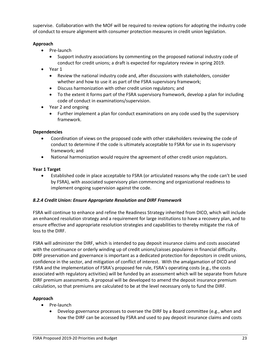supervise. Collaboration with the MOF will be required to review options for adopting the industry code of conduct to ensure alignment with consumer protection measures in credit union legislation.

#### **Approach**

- Pre-launch
	- Support industry associations by commenting on the proposed national industry code of conduct for credit unions; a draft is expected for regulatory review in spring 2019.
- Year 1
	- Review the national industry code and, after discussions with stakeholders, consider whether and how to use it as part of the FSRA supervisory framework;
	- Discuss harmonization with other credit union regulators; and
	- To the extent it forms part of the FSRA supervisory framework, develop a plan for including code of conduct in examinations/supervision.
- Year 2 and ongoing
	- Further implement a plan for conduct examinations on any code used by the supervisory framework.

#### **Dependencies**

- Coordination of views on the proposed code with other stakeholders reviewing the code of conduct to determine if the code is ultimately acceptable to FSRA for use in its supervisory framework; and
- National harmonization would require the agreement of other credit union regulators.

#### **Year 1 Target**

• Established code in place acceptable to FSRA (or articulated reasons why the code can't be used by FSRA), with associated supervisory plan commencing and organizational readiness to implement ongoing supervision against the code.

#### *8.2.4 Credit Union: Ensure Appropriate Resolution and DIRF Framework*

FSRA will continue to enhance and refine the Readiness Strategy inherited from DICO, which will include an enhanced resolution strategy and a requirement for large institutions to have a recovery plan, and to ensure effective and appropriate resolution strategies and capabilities to thereby mitigate the risk of loss to the DIRF.

FSRA will administer the DIRF, which is intended to pay deposit insurance claims and costs associated with the continuance or orderly winding up of credit unions/caisses populaires in financial difficulty. DIRF preservation and governance is important as a dedicated protection for depositors in credit unions, confidence in the sector, and mitigation of conflict of interest. With the amalgamation of DICO and FSRA and the implementation of FSRA's proposed fee rule, FSRA's operating costs (e.g., the costs associated with regulatory activities) will be funded by an assessment which will be separate from future DIRF premium assessments. A proposal will be developed to amend the deposit insurance premium calculation, so that premiums are calculated to be at the level necessary only to fund the DIRF.

- Pre-launch
	- Develop governance processes to oversee the DIRF by a Board committee (e.g., when and how the DIRF can be accessed by FSRA and used to pay deposit insurance claims and costs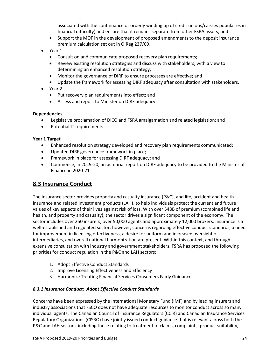associated with the continuance or orderly winding up of credit unions/caisses populaires in financial difficulty) and ensure that it remains separate from other FSRA assets; and

- Support the MOF in the development of proposed amendments to the deposit insurance premium calculation set out in O.Reg 237/09.
- Year 1
	- Consult on and communicate proposed recovery plan requirements;
	- Review existing resolution strategies and discuss with stakeholders, with a view to determining an enhanced resolution strategy;
	- Monitor the governance of DIRF to ensure processes are effective; and
	- Update the framework for assessing DIRF adequacy after consultation with stakeholders.
- Year 2
	- Put recovery plan requirements into effect; and
	- Assess and report to Minister on DIRF adequacy.

#### **Dependencies**

- Legislative proclamation of DICO and FSRA amalgamation and related legislation; and
- Potential IT requirements.

#### **Year 1 Target**

- Enhanced resolution strategy developed and recovery plan requirements communicated;
- Updated DIRF governance framework in place;
- Framework in place for assessing DIRF adequacy; and
- Commence, in 2019-20, an actuarial report on DIRF adequacy to be provided to the Minister of Finance in 2020-21

## <span id="page-25-0"></span>**8.3 Insurance Conduct**

The insurance sector provides property and casualty insurance (P&C), and life, accident and health insurance and related investment products (LAH), to help individuals protect the current and future values of key aspects of their lives against risk of loss. With over \$48B of premium (combined life and health, and property and casualty), the sector drives a significant component of the economy. The sector includes over 250 insurers, over 50,000 agents and approximately 12,000 brokers. Insurance is a well-established and regulated sector; however, concerns regarding effective conduct standards, a need for improvement in licensing effectiveness, a desire for uniform and increased oversight of intermediaries, and overall national harmonization are present. Within this context, and through extensive consultation with industry and government stakeholders, FSRA has proposed the following priorities for conduct regulation in the P&C and LAH sectors:

- 1. Adopt Effective Conduct Standards
- 2. Improve Licensing Effectiveness and Efficiency
- 3. Harmonize Treating Financial Services Consumers Fairly Guidance

#### *8.3.1 Insurance Conduct: Adopt Effective Conduct Standards*

Concerns have been expressed by the International Monetary Fund (IMF) and by leading insurers and industry associations that FSCO does not have adequate resources to monitor conduct across so many individual agents. The Canadian Council of Insurance Regulators (CCIR) and Canadian Insurance Services Regulatory Organizations (CISRO) have jointly issued conduct guidance that is relevant across both the P&C and LAH sectors, including those relating to treatment of claims, complaints, product suitability,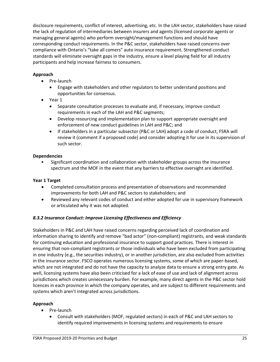disclosure requirements, conflict of interest, advertising, etc. In the LAH sector, stakeholders have raised the lack of regulation of intermediaries between insurers and agents (licensed corporate agents or managing general agents) who perform oversight/management functions and should have corresponding conduct requirements. In the P&C sector, stakeholders have raised concerns over compliance with Ontario's "take all comers" auto insurance requirement. Strengthened conduct standards will eliminate oversight gaps in the industry, ensure a level playing field for all industry participants and help increase fairness to consumers.

#### **Approach**

- Pre-launch
	- Engage with stakeholders and other regulators to better understand positions and opportunities for consensus.
- Year 1
	- Separate consultation processes to evaluate and, if necessary, improve conduct requirements in each of the LAH and P&C segments;
	- Develop resourcing and implementation plan to support appropriate oversight and enforcement of new conduct guidelines in LAH and P&C; and
	- If stakeholders in a particular subsector (P&C or LAH) adopt a code of conduct, FSRA will review it (comment if a proposed code) and consider adopting it for use in its supervision of such sector.

#### **Dependencies**

• Significant coordination and collaboration with stakeholder groups across the insurance spectrum and the MOF in the event that any barriers to effective oversight are identified.

#### **Year 1 Target**

- Completed consultation process and presentation of observations and recommended improvements for both LAH and P&C sectors to stakeholders; and
- Reviewed any relevant codes of conduct and either adopted for use in supervisory framework or articulated why it was not adopted.

#### *8.3.2 Insurance Conduct: Improve Licensing Effectiveness and Efficiency*

Stakeholders in P&C and LAH have raised concerns regarding perceived lack of coordination and information sharing to identify and remove "bad actor" (non-compliant) registrants, and weak standards for continuing education and professional insurance to support good practices. There is interest in ensuring that non-compliant registrants or those individuals who have been excluded from participating in one industry (e.g., the securities industry), or in another jurisdiction, are also excluded from activities in the insurance sector. FSCO operates numerous licensing systems, some of which are paper-based, which are not integrated and do not have the capacity to analyze data to ensure a strong entry gate. As well, licensing systems have also been criticised for a lack of ease of use and lack of alignment across jurisdictions which creates unnecessary burden. For example, many direct agents in the P&C sector hold licences in each province in which the company operates, and are subject to different requirements and systems which aren't integrated across jurisdictions.

- Pre-launch
	- Consult with stakeholders (MOF, regulated sectors) in each of P&C and LAH sectors to identify required improvements in licensing systems and requirements to ensure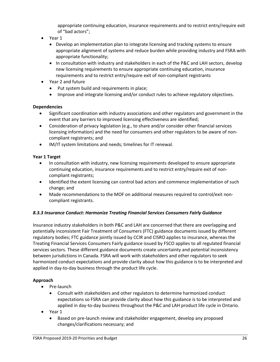appropriate continuing education, insurance requirements and to restrict entry/require exit of "bad actors";

- Year 1
	- Develop an implementation plan to integrate licensing and tracking systems to ensure appropriate alignment of systems and reduce burden while providing industry and FSRA with appropriate functionality;
	- In consultation with industry and stakeholders in each of the P&C and LAH sectors, develop new licensing requirements to ensure appropriate continuing education, insurance requirements and to restrict entry/require exit of non-compliant registrants
- Year 2 and future
	- Put system build and requirements in place;
	- Improve and integrate licensing and/or conduct rules to achieve regulatory objectives.

#### **Dependencies**

- Significant coordination with industry associations and other regulators and government in the event that any barriers to improved licensing effectiveness are identified;
- Consideration of privacy legislation (e.g., to share and/or consider other financial services licensing information) and the need for consumers and other regulators to be aware of noncompliant registrants; and
- IM/IT system limitations and needs; timelines for IT renewal.

#### **Year 1 Target**

- In consultation with industry, new licensing requirements developed to ensure appropriate continuing education, insurance requirements and to restrict entry/require exit of noncompliant registrants;
- Identified the extent licensing can control bad actors and commence implementation of such change; and
- Made recommendations to the MOF on additional measures required to control/exit noncompliant registrants.

#### *8.3.3 Insurance Conduct: Harmonize Treating Financial Services Consumers Fairly Guidance*

Insurance industry stakeholders in both P&C and LAH are concerned that there are overlapping and potentially inconsistent Fair Treatment of Consumers (FTC) guidance documents issued by different regulatory bodies; FTC guidance jointly issued by CCIR and CISRO applies to insurance, whereas the Treating Financial Services Consumers Fairly guidance issued by FSCO applies to all regulated financial services sectors. These different guidance documents create uncertainty and potential inconsistency between jurisdictions in Canada. FSRA will work with stakeholders and other regulators to seek harmonized conduct expectations and provide clarity about how this guidance is to be interpreted and applied in day-to-day business through the product life cycle.

- Pre-launch
	- Consult with stakeholders and other regulators to determine harmonized conduct expectations so FSRA can provide clarity about how this guidance is to be interpreted and applied in day-to-day business throughout the P&C and LAH product life cycle in Ontario.
- Year 1
	- Based on pre-launch review and stakeholder engagement, develop any proposed changes/clarifications necessary; and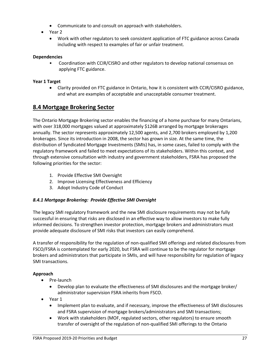- Communicate to and consult on approach with stakeholders.
- Year 2
	- Work with other regulators to seek consistent application of FTC guidance across Canada including with respect to examples of fair or unfair treatment.

#### **Dependencies**

• Coordination with CCIR/CISRO and other regulators to develop national consensus on applying FTC guidance.

#### **Year 1 Target**

• Clarity provided on FTC guidance in Ontario, how it is consistent with CCIR/CISRO guidance, and what are examples of acceptable and unacceptable consumer treatment.

#### <span id="page-28-0"></span>**8.4 Mortgage Brokering Sector**

The Ontario Mortgage Brokering sector enables the financing of a home purchase for many Ontarians, with over 318,000 mortgages valued at approximately \$126B arranged by mortgage brokerages annually. The sector represents approximately 12,500 agents, and 2,700 brokers employed by 1,200 brokerages. Since its introduction in 2008, the sector has grown in size. At the same time, the distribution of Syndicated Mortgage Investments (SMIs) has, in some cases, failed to comply with the regulatory framework and failed to meet expectations of its stakeholders. Within this context, and through extensive consultation with industry and government stakeholders, FSRA has proposed the following priorities for the sector:

- 1. Provide Effective SMI Oversight
- 2. Improve Licensing Effectiveness and Efficiency
- 3. Adopt Industry Code of Conduct

#### *8.4.1 Mortgage Brokering: Provide Effective SMI Oversight*

The legacy SMI regulatory framework and the new SMI disclosure requirements may not be fully successful in ensuring that risks are disclosed in an effective way to allow investors to make fully informed decisions. To strengthen investor protection, mortgage brokers and administrators must provide adequate disclosure of SMI risks that investors can easily comprehend.

A transfer of responsibility for the regulation of non-qualified SMI offerings and related disclosures from FSCO/FSRA is contemplated for early 2020, but FSRA will continue to be the regulator for mortgage brokers and administrators that participate in SMIs, and will have responsibility for regulation of legacy SMI transactions.

- Pre-launch
	- Develop plan to evaluate the effectiveness of SMI disclosures and the mortgage broker/ administrator supervision FSRA inherits from FSCO.
- Year 1
	- Implement plan to evaluate, and if necessary, improve the effectiveness of SMI disclosures and FSRA supervision of mortgage brokers/administrators and SMI transactions;
	- Work with stakeholders (MOF, regulated sectors, other regulators) to ensure smooth transfer of oversight of the regulation of non-qualified SMI offerings to the Ontario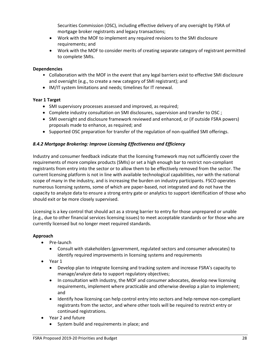Securities Commission (OSC), including effective delivery of any oversight by FSRA of mortgage broker registrants and legacy transactions;

- Work with the MOF to implement any required revisions to the SMI disclosure requirements; and
- Work with the MOF to consider merits of creating separate category of registrant permitted to complete SMIs.

#### **Dependencies**

- Collaboration with the MOF in the event that any legal barriers exist to effective SMI disclosure and oversight (e.g., to create a new category of SMI registrant); and
- IM/IT system limitations and needs; timelines for IT renewal.

#### **Year 1 Target**

- SMI supervisory processes assessed and improved, as required;
- Complete industry consultation on SMI disclosures, supervision and transfer to OSC ;
- SMI oversight and disclosure framework reviewed and enhanced, or (if outside FSRA powers) proposals made to enhance, as required; and
- Supported OSC preparation for transfer of the regulation of non-qualified SMI offerings.

#### *8.4.2 Mortgage Brokering: Improve Licensing Effectiveness and Efficiency*

Industry and consumer feedback indicate that the licensing framework may not sufficiently cover the requirements of more complex products (SMIs) or set a high enough bar to restrict non-compliant registrants from entry into the sector or to allow them to be effectively removed from the sector. The current licensing platform is not in line with available technological capabilities, nor with the national scope of many in the industry, and is increasing the burden on industry participants. FSCO operates numerous licensing systems, some of which are paper-based, not integrated and do not have the capacity to analyze data to ensure a strong entry gate or analytics to support identification of those who should exit or be more closely supervised.

Licensing is a key control that should act as a strong barrier to entry for those unprepared or unable (e.g., due to other financial services licensing issues) to meet acceptable standards or for those who are currently licensed but no longer meet required standards.

- Pre-launch
	- Consult with stakeholders (government, regulated sectors and consumer advocates) to identify required improvements in licensing systems and requirements
- Year 1
	- Develop plan to integrate licensing and tracking system and increase FSRA's capacity to manage/analyze data to support regulatory objectives;
	- In consultation with industry, the MOF and consumer advocates, develop new licensing requirements, implement where practicable and otherwise develop a plan to implement; and
	- Identify how licensing can help control entry into sectors and help remove non-compliant registrants from the sector, and where other tools will be required to restrict entry or continued registrations.
- Year 2 and future
	- System build and requirements in place; and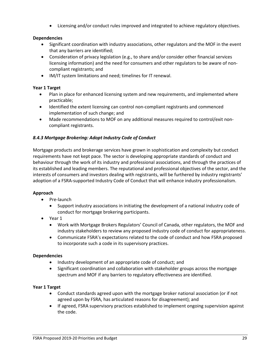• Licensing and/or conduct rules improved and integrated to achieve regulatory objectives.

#### **Dependencies**

- Significant coordination with industry associations, other regulators and the MOF in the event that any barriers are identified;
- Consideration of privacy legislation (e.g., to share and/or consider other financial services licensing information) and the need for consumers and other regulators to be aware of noncompliant registrants; and
- IM/IT system limitations and need; timelines for IT renewal.

#### **Year 1 Target**

- Plan in place for enhanced licensing system and new requirements, and implemented where practicable;
- Identified the extent licensing can control non-compliant registrants and commenced implementation of such change; and
- Made recommendations to MOF on any additional measures required to control/exit noncompliant registrants.

#### *8.4.3 Mortgage Brokering: Adopt Industry Code of Conduct*

Mortgage products and brokerage services have grown in sophistication and complexity but conduct requirements have not kept pace. The sector is developing appropriate standards of conduct and behaviour through the work of its industry and professional associations, and through the practices of its established and leading members. The reputational and professional objectives of the sector, and the interests of consumers and investors dealing with registrants, will be furthered by industry registrants' adoption of a FSRA-supported Industry Code of Conduct that will enhance industry professionalism.

#### **Approach**

- Pre-launch
	- Support industry associations in initiating the development of a national industry code of conduct for mortgage brokering participants.
- Year 1
	- Work with Mortgage Brokers Regulators' Council of Canada, other regulators, the MOF and industry stakeholders to review any proposed industry code of conduct for appropriateness.
	- Communicate FSRA's expectations related to the code of conduct and how FSRA proposed to incorporate such a code in its supervisory practices.

#### **Dependencies**

- Industry development of an appropriate code of conduct; and
- Significant coordination and collaboration with stakeholder groups across the mortgage spectrum and MOF if any barriers to regulatory effectiveness are identified.

#### **Year 1 Target**

- Conduct standards agreed upon with the mortgage broker national association (or if not agreed upon by FSRA, has articulated reasons for disagreement); and
- If agreed, FSRA supervisory practices established to implement ongoing supervision against the code.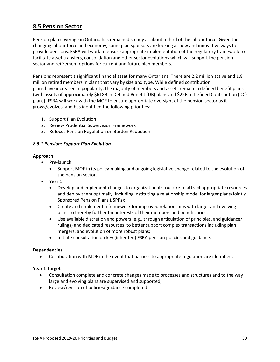## <span id="page-31-0"></span>**8.5 Pension Sector**

Pension plan coverage in Ontario has remained steady at about a third of the labour force. Given the changing labour force and economy, some plan sponsors are looking at new and innovative ways to provide pensions. FSRA will work to ensure appropriate implementation of the regulatory framework to facilitate asset transfers, consolidation and other sector evolutions which will support the pension sector and retirement options for current and future plan members.

Pensions represent a significant financial asset for many Ontarians. There are 2.2 million active and 1.8 million retired members in plans that vary by size and type. While defined contribution plans have increased in popularity, the majority of members and assets remain in defined benefit plans (with assets of approximately \$618B in Defined Benefit (DB) plans and \$22B in Defined Contribution (DC) plans). FSRA will work with the MOF to ensure appropriate oversight of the pension sector as it grows/evolves, and has identified the following priorities:

- 1. Support Plan Evolution
- 2. Review Prudential Supervision Framework
- 3. Refocus Pension Regulation on Burden Reduction

#### *8.5.1 Pension: Support Plan Evolution*

#### **Approach**

- Pre-launch
	- Support MOF in its policy-making and ongoing legislative change related to the evolution of the pension sector.
- Year 1
	- Develop and implement changes to organizational structure to attract appropriate resources and deploy them optimally, including instituting a relationship model for larger plans/Jointly Sponsored Pension Plans (JSPPs);
	- Create and implement a framework for improved relationships with larger and evolving plans to thereby further the interests of their members and beneficiaries;
	- Use available discretion and powers (e.g., through articulation of principles, and guidance/ rulings) and dedicated resources, to better support complex transactions including plan mergers, and evolution of more robust plans;
	- Initiate consultation on key (inherited) FSRA pension policies and guidance.

#### **Dependencies**

• Collaboration with MOF in the event that barriers to appropriate regulation are identified.

#### **Year 1 Target**

- Consultation complete and concrete changes made to processes and structures and to the way large and evolving plans are supervised and supported;
- Review/revision of policies/guidance completed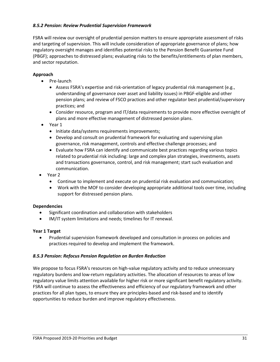#### *8.5.2 Pension: Review Prudential Supervision Framework*

FSRA will review our oversight of prudential pension matters to ensure appropriate assessment of risks and targeting of supervision. This will include consideration of appropriate governance of plans; how regulatory oversight manages and identifies potential risks to the Pension Benefit Guarantee Fund (PBGF); approaches to distressed plans; evaluating risks to the benefits/entitlements of plan members, and sector reputation.

#### **Approach**

- Pre-launch
	- Assess FSRA's expertise and risk-orientation of legacy prudential risk management (e.g., understanding of governance over asset and liability issues) in PBGF-eligible and other pension plans; and review of FSCO practices and other regulator best prudential/supervisory practices; and
	- Consider resource, program and IT/data requirements to provide more effective oversight of plans and more effective management of distressed pension plans.
- Year 1
	- Initiate data/systems requirements improvements;
	- Develop and consult on prudential framework for evaluating and supervising plan governance, risk management, controls and effective challenge processes; and
	- Evaluate how FSRA can identify and communicate best practices regarding various topics related to prudential risk including: large and complex plan strategies, investments, assets and transactions governance, control, and risk management; start such evaluation and communication.
- Year 2
	- Continue to implement and execute on prudential risk evaluation and communication;
	- Work with the MOF to consider developing appropriate additional tools over time, including support for distressed pension plans.

#### **Dependencies**

- Significant coordination and collaboration with stakeholders
- IM/IT system limitations and needs; timelines for IT renewal.

#### **Year 1 Target**

• Prudential supervision framework developed and consultation in process on policies and practices required to develop and implement the framework.

#### *8.5.3 Pension: Refocus Pension Regulation on Burden Reduction*

We propose to focus FSRA's resources on high-value regulatory activity and to reduce unnecessary regulatory burdens and low-return regulatory activities. The allocation of resources to areas of low regulatory value limits attention available for higher risk or more significant benefit regulatory activity. FSRA will continue to assess the effectiveness and efficiency of our regulatory framework and other practices for all plan types, to ensure they are principles-based and risk-based and to identify opportunities to reduce burden and improve regulatory effectiveness.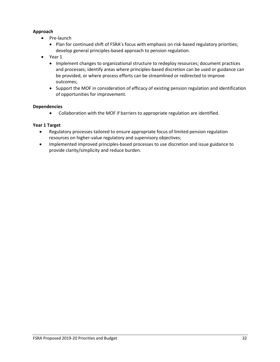#### **Approach**

- Pre-launch
	- Plan for continued shift of FSRA's focus with emphasis on risk-based regulatory priorities; develop general principles-based approach to pension regulation.
- Year 1
	- Implement changes to organizational structure to redeploy resources; document practices and processes; identify areas where principles-based discretion can be used or guidance can be provided, or where process efforts can be streamlined or redirected to improve outcomes;
	- Support the MOF in consideration of efficacy of existing pension regulation and identification of opportunities for improvement.

#### **Dependencies**

• Collaboration with the MOF if barriers to appropriate regulation are identified.

#### **Year 1 Target**

- Regulatory processes tailored to ensure appropriate focus of limited pension regulation resources on higher-value regulatory and supervisory objectives;
- Implemented improved principles-based processes to use discretion and issue guidance to provide clarity/simplicity and reduce burden.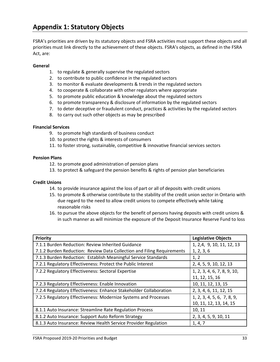<span id="page-34-0"></span>FSRA's priorities are driven by its statutory objects and FSRA activities must support these objects and all priorities must link directly to the achievement of these objects. FSRA's objects, as defined in the FSRA Act, are:

#### **General**

- 1. to regulate & generally supervise the regulated sectors
- 2. to contribute to public confidence in the regulated sectors
- 3. to monitor & evaluate developments & trends in the regulated sectors
- 4. to cooperate & collaborate with other regulators where appropriate
- 5. to promote public education & knowledge about the regulated sectors
- 6. to promote transparency & disclosure of information by the regulated sectors
- 7. to deter deceptive or fraudulent conduct, practices & activities by the regulated sectors
- 8. to carry out such other objects as may be prescribed

#### **Financial Services**

- 9. to promote high standards of business conduct
- 10. to protect the rights & interests of consumers
- 11. to foster strong, sustainable, competitive & innovative financial services sectors

#### **Pension Plans**

- 12. to promote good administration of pension plans
- 13. to protect & safeguard the pension benefits & rights of pension plan beneficiaries

#### **Credit Unions**

- 14. to provide insurance against the loss of part or all of deposits with credit unions
- 15. to promote & otherwise contribute to the stability of the credit union sector in Ontario with due regard to the need to allow credit unions to compete effectively while taking reasonable risks
- 16. to pursue the above objects for the benefit of persons having deposits with credit unions & in such manner as will minimize the exposure of the Deposit Insurance Reserve Fund to loss

| Priority                                                               | <b>Legislative Objects</b>  |
|------------------------------------------------------------------------|-----------------------------|
| 7.1.1 Burden Reduction: Review Inherited Guidance                      | 1, 2,4, 9, 10, 11, 12, 13   |
| 7.1.2 Burden Reduction: Review Data Collection and Filing Requirements | 1, 2, 3, 6                  |
| 7.1.3 Burden Reduction: Establish Meaningful Service Standards         | 1, 2                        |
| 7.2.1 Regulatory Effectiveness: Protect the Public Interest            | 2, 4, 5, 9, 10, 12, 13      |
| 7.2.2 Regulatory Effectiveness: Sectoral Expertise                     | 1, 2, 3, 4, 6, 7, 8, 9, 10, |
|                                                                        | 11, 12, 15, 16              |
| 7.2.3 Regulatory Effectiveness: Enable Innovation                      | 10, 11, 12, 13, 15          |
| 7.2.4 Regulatory Effectiveness: Enhance Stakeholder Collaboration      | 2, 3, 4, 6, 11, 12, 15      |
| 7.2.5 Regulatory Effectiveness: Modernize Systems and Processes        | 1, 2, 3, 4, 5, 6, 7, 8, 9,  |
|                                                                        | 10, 11, 12, 13, 14, 15      |
| 8.1.1 Auto Insurance: Streamline Rate Regulation Process               | 10, 11                      |
| 8.1.2 Auto Insurance: Support Auto Reform Strategy                     | 2, 3, 4, 5, 9, 10, 11       |
| 8.1.3 Auto Insurance: Review Health Service Provider Regulation        | 1, 4, 7                     |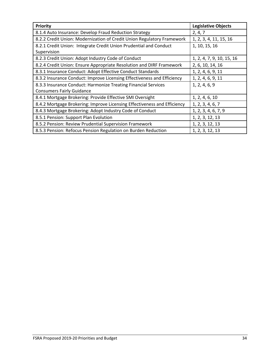| Priority                                                                 | <b>Legislative Objects</b> |
|--------------------------------------------------------------------------|----------------------------|
| 8.1.4 Auto Insurance: Develop Fraud Reduction Strategy                   | 2, 4, 7                    |
| 8.2.2 Credit Union: Modernization of Credit Union Regulatory Framework   | 1, 2, 3, 4, 11, 15, 16     |
| 8.2.1 Credit Union: Integrate Credit Union Prudential and Conduct        | 1, 10, 15, 16              |
| Supervision                                                              |                            |
| 8.2.3 Credit Union: Adopt Industry Code of Conduct                       | 1, 2, 4, 7, 9, 10, 15, 16  |
| 8.2.4 Credit Union: Ensure Appropriate Resolution and DIRF Framework     | 2, 6, 10, 14, 16           |
| 8.3.1 Insurance Conduct: Adopt Effective Conduct Standards               | 1, 2, 4, 6, 9, 11          |
| 8.3.2 Insurance Conduct: Improve Licensing Effectiveness and Efficiency  | 1, 2, 4, 6, 9, 11          |
| 8.3.3 Insurance Conduct: Harmonize Treating Financial Services           | 1, 2, 4, 6, 9              |
| <b>Consumers Fairly Guidance</b>                                         |                            |
| 8.4.1 Mortgage Brokering: Provide Effective SMI Oversight                | 1, 2, 4, 6, 10             |
| 8.4.2 Mortgage Brokering: Improve Licensing Effectiveness and Efficiency | 1, 2, 3, 4, 6, 7           |
| 8.4.3 Mortgage Brokering: Adopt Industry Code of Conduct                 | 1, 2, 3, 4, 6, 7, 9        |
| 8.5.1 Pension: Support Plan Evolution                                    | 1, 2, 3, 12, 13            |
| 8.5.2 Pension: Review Prudential Supervision Framework                   | 1, 2, 3, 12, 13            |
| 8.5.3 Pension: Refocus Pension Regulation on Burden Reduction            | 1, 2, 3, 12, 13            |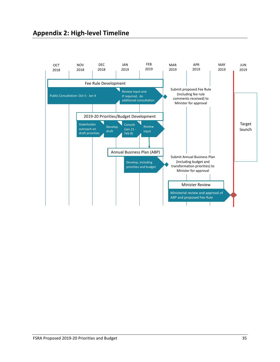## <span id="page-36-0"></span>**Appendix 2: High-level Timeline**

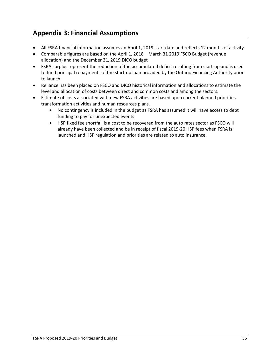## <span id="page-37-0"></span>**Appendix 3: Financial Assumptions**

- All FSRA financial information assumes an April 1, 2019 start date and reflects 12 months of activity.
- Comparable figures are based on the April 1, 2018 March 31 2019 FSCO Budget (revenue allocation) and the December 31, 2019 DICO budget
- FSRA surplus represent the reduction of the accumulated deficit resulting from start-up and is used to fund principal repayments of the start-up loan provided by the Ontario Financing Authority prior to launch.
- Reliance has been placed on FSCO and DICO historical information and allocations to estimate the level and allocation of costs between direct and common costs and among the sectors.
- Estimate of costs associated with new FSRA activities are based upon current planned priorities, transformation activities and human resources plans.
	- No contingency is included in the budget as FSRA has assumed it will have access to debt funding to pay for unexpected events.
	- HSP fixed fee shortfall is a cost to be recovered from the auto rates sector as FSCO will already have been collected and be in receipt of fiscal 2019-20 HSP fees when FSRA is launched and HSP regulation and priorities are related to auto insurance.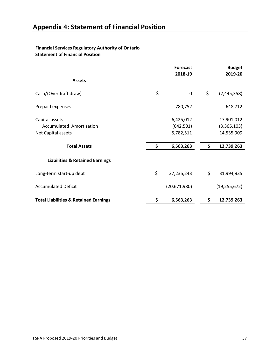#### <span id="page-38-0"></span>**Financial Services Regulatory Authority of Ontario Statement of Financial Position**

|                                                  | <b>Forecast</b><br>2018-19 | <b>Budget</b><br>2019-20 |
|--------------------------------------------------|----------------------------|--------------------------|
| <b>Assets</b>                                    |                            |                          |
| Cash/(Overdraft draw)                            | \$<br>0                    | \$<br>(2,445,358)        |
| Prepaid expenses                                 | 780,752                    | 648,712                  |
| Capital assets                                   | 6,425,012                  | 17,901,012               |
| Accumulated Amortization                         | (642, 501)                 | (3,365,103)              |
| Net Capital assets                               | 5,782,511                  | 14,535,909               |
| <b>Total Assets</b>                              | \$<br>6,563,263            | \$<br>12,739,263         |
| <b>Liabilities &amp; Retained Earnings</b>       |                            |                          |
| Long-term start-up debt                          | \$<br>27,235,243           | \$<br>31,994,935         |
| <b>Accumulated Deficit</b>                       | (20,671,980)               | (19, 255, 672)           |
| <b>Total Liabilities &amp; Retained Earnings</b> | \$<br>6,563,263            | \$<br>12,739,263         |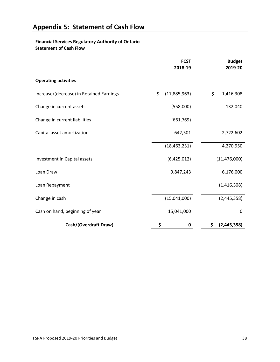#### <span id="page-39-0"></span>**Financial Services Regulatory Authority of Ontario Statement of Cash Flow**

|                                          | <b>FCST</b><br>2018-19 | <b>Budget</b><br>2019-20 |
|------------------------------------------|------------------------|--------------------------|
| <b>Operating activities</b>              |                        |                          |
| Increase/(decrease) in Retained Earnings | \$<br>(17,885,963)     | \$<br>1,416,308          |
| Change in current assets                 | (558,000)              | 132,040                  |
| Change in current liabilities            | (661,769)              |                          |
| Capital asset amortization               | 642,501                | 2,722,602                |
|                                          | (18, 463, 231)         | 4,270,950                |
| Investment in Capital assets             | (6,425,012)            | (11, 476, 000)           |
| Loan Draw                                | 9,847,243              | 6,176,000                |
| Loan Repayment                           |                        | (1,416,308)              |
| Change in cash                           | (15,041,000)           | (2,445,358)              |
| Cash on hand, beginning of year          | 15,041,000             | $\mathbf 0$              |
| Cash/(Overdraft Draw)                    | \$<br>0                | \$<br>(2, 445, 358)      |